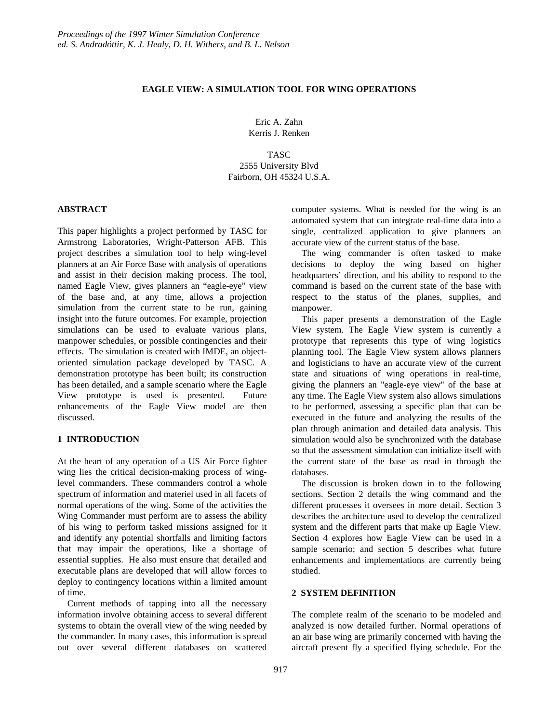## **EAGLE VIEW: A SIMULATION TOOL FOR WING OPERATIONS**

Eric A. Zahn Kerris J. Renken

### TASC

2555 University Blvd Fairborn, OH 45324 U.S.A.

### **ABSTRACT**

This paper highlights a project performed by TASC for Armstrong Laboratories, Wright-Patterson AFB. This project describes a simulation tool to help wing-level planners at an Air Force Base with analysis of operations and assist in their decision making process. The tool, named Eagle View, gives planners an "eagle-eye" view of the base and, at any time, allows a projection simulation from the current state to be run, gaining insight into the future outcomes. For example, projection simulations can be used to evaluate various plans, manpower schedules, or possible contingencies and their effects. The simulation is created with IMDE, an objectoriented simulation package developed by TASC. A demonstration prototype has been built; its construction has been detailed, and a sample scenario where the Eagle View prototype is used is presented. Future enhancements of the Eagle View model are then discussed.

## **1 INTRODUCTION**

At the heart of any operation of a US Air Force fighter wing lies the critical decision-making process of winglevel commanders. These commanders control a whole spectrum of information and materiel used in all facets of normal operations of the wing. Some of the activities the Wing Commander must perform are to assess the ability of his wing to perform tasked missions assigned for it and identify any potential shortfalls and limiting factors that may impair the operations, like a shortage of essential supplies. He also must ensure that detailed and executable plans are developed that will allow forces to deploy to contingency locations within a limited amount of time.

Current methods of tapping into all the necessary information involve obtaining access to several different systems to obtain the overall view of the wing needed by the commander. In many cases, this information is spread out over several different databases on scattered

computer systems. What is needed for the wing is an automated system that can integrate real-time data into a single, centralized application to give planners an accurate view of the current status of the base.

The wing commander is often tasked to make decisions to deploy the wing based on higher headquarters' direction, and his ability to respond to the command is based on the current state of the base with respect to the status of the planes, supplies, and manpower.

This paper presents a demonstration of the Eagle View system. The Eagle View system is currently a prototype that represents this type of wing logistics planning tool. The Eagle View system allows planners and logisticians to have an accurate view of the current state and situations of wing operations in real-time, giving the planners an "eagle-eye view" of the base at any time. The Eagle View system also allows simulations to be performed, assessing a specific plan that can be executed in the future and analyzing the results of the plan through animation and detailed data analysis. This simulation would also be synchronized with the database so that the assessment simulation can initialize itself with the current state of the base as read in through the databases.

The discussion is broken down in to the following sections. Section 2 details the wing command and the different processes it oversees in more detail. Section 3 describes the architecture used to develop the centralized system and the different parts that make up Eagle View. Section 4 explores how Eagle View can be used in a sample scenario; and section 5 describes what future enhancements and implementations are currently being studied.

# **2 SYSTEM DEFINITION**

The complete realm of the scenario to be modeled and analyzed is now detailed further. Normal operations of an air base wing are primarily concerned with having the aircraft present fly a specified flying schedule. For the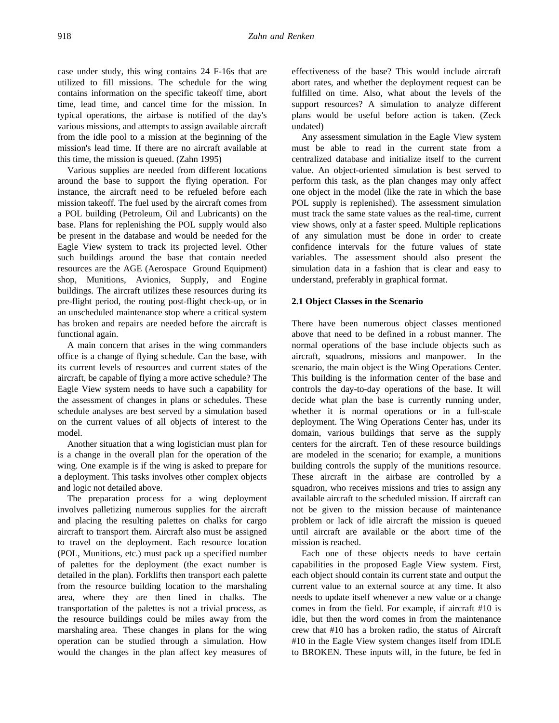case under study, this wing contains 24 F-16s that are utilized to fill missions. The schedule for the wing contains information on the specific takeoff time, abort time, lead time, and cancel time for the mission. In typical operations, the airbase is notified of the day's various missions, and attempts to assign available aircraft from the idle pool to a mission at the beginning of the mission's lead time. If there are no aircraft available at this time, the mission is queued. (Zahn 1995)

Various supplies are needed from different locations around the base to support the flying operation. For instance, the aircraft need to be refueled before each mission takeoff. The fuel used by the aircraft comes from a POL building (Petroleum, Oil and Lubricants) on the base. Plans for replenishing the POL supply would also be present in the database and would be needed for the Eagle View system to track its projected level. Other such buildings around the base that contain needed resources are the AGE (Aerospace Ground Equipment) shop, Munitions, Avionics, Supply, and Engine buildings. The aircraft utilizes these resources during its pre-flight period, the routing post-flight check-up, or in an unscheduled maintenance stop where a critical system has broken and repairs are needed before the aircraft is functional again.

A main concern that arises in the wing commanders office is a change of flying schedule. Can the base, with its current levels of resources and current states of the aircraft, be capable of flying a more active schedule? The Eagle View system needs to have such a capability for the assessment of changes in plans or schedules. These schedule analyses are best served by a simulation based on the current values of all objects of interest to the model.

Another situation that a wing logistician must plan for is a change in the overall plan for the operation of the wing. One example is if the wing is asked to prepare for a deployment. This tasks involves other complex objects and logic not detailed above.

The preparation process for a wing deployment involves palletizing numerous supplies for the aircraft and placing the resulting palettes on chalks for cargo aircraft to transport them. Aircraft also must be assigned to travel on the deployment. Each resource location (POL, Munitions, etc.) must pack up a specified number of palettes for the deployment (the exact number is detailed in the plan). Forklifts then transport each palette from the resource building location to the marshaling area, where they are then lined in chalks. The transportation of the palettes is not a trivial process, as the resource buildings could be miles away from the marshaling area. These changes in plans for the wing operation can be studied through a simulation. How would the changes in the plan affect key measures of effectiveness of the base? This would include aircraft abort rates, and whether the deployment request can be fulfilled on time. Also, what about the levels of the support resources? A simulation to analyze different plans would be useful before action is taken. (Zeck undated)

Any assessment simulation in the Eagle View system must be able to read in the current state from a centralized database and initialize itself to the current value. An object-oriented simulation is best served to perform this task, as the plan changes may only affect one object in the model (like the rate in which the base POL supply is replenished). The assessment simulation must track the same state values as the real-time, current view shows, only at a faster speed. Multiple replications of any simulation must be done in order to create confidence intervals for the future values of state variables. The assessment should also present the simulation data in a fashion that is clear and easy to understand, preferably in graphical format.

### **2.1 Object Classes in the Scenario**

There have been numerous object classes mentioned above that need to be defined in a robust manner. The normal operations of the base include objects such as aircraft, squadrons, missions and manpower. In the scenario, the main object is the Wing Operations Center. This building is the information center of the base and controls the day-to-day operations of the base. It will decide what plan the base is currently running under, whether it is normal operations or in a full-scale deployment. The Wing Operations Center has, under its domain, various buildings that serve as the supply centers for the aircraft. Ten of these resource buildings are modeled in the scenario; for example, a munitions building controls the supply of the munitions resource. These aircraft in the airbase are controlled by a squadron, who receives missions and tries to assign any available aircraft to the scheduled mission. If aircraft can not be given to the mission because of maintenance problem or lack of idle aircraft the mission is queued until aircraft are available or the abort time of the mission is reached.

Each one of these objects needs to have certain capabilities in the proposed Eagle View system. First, each object should contain its current state and output the current value to an external source at any time. It also needs to update itself whenever a new value or a change comes in from the field. For example, if aircraft #10 is idle, but then the word comes in from the maintenance crew that #10 has a broken radio, the status of Aircraft #10 in the Eagle View system changes itself from IDLE to BROKEN. These inputs will, in the future, be fed in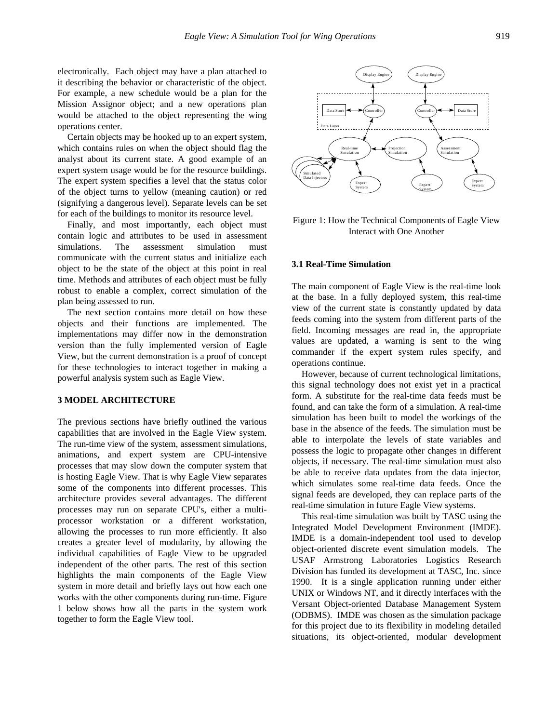electronically. Each object may have a plan attached to it describing the behavior or characteristic of the object. For example, a new schedule would be a plan for the Mission Assignor object; and a new operations plan would be attached to the object representing the wing operations center.

Certain objects may be hooked up to an expert system, which contains rules on when the object should flag the analyst about its current state. A good example of an expert system usage would be for the resource buildings. The expert system specifies a level that the status color of the object turns to yellow (meaning caution) or red (signifying a dangerous level). Separate levels can be set for each of the buildings to monitor its resource level.

Finally, and most importantly, each object must contain logic and attributes to be used in assessment simulations. The assessment simulation must communicate with the current status and initialize each object to be the state of the object at this point in real time. Methods and attributes of each object must be fully robust to enable a complex, correct simulation of the plan being assessed to run.

The next section contains more detail on how these objects and their functions are implemented. The implementations may differ now in the demonstration version than the fully implemented version of Eagle View, but the current demonstration is a proof of concept for these technologies to interact together in making a powerful analysis system such as Eagle View.

#### **3 MODEL ARCHITECTURE**

The previous sections have briefly outlined the various capabilities that are involved in the Eagle View system. The run-time view of the system, assessment simulations, animations, and expert system are CPU-intensive processes that may slow down the computer system that is hosting Eagle View. That is why Eagle View separates some of the components into different processes. This architecture provides several advantages. The different processes may run on separate CPU's, either a multiprocessor workstation or a different workstation, allowing the processes to run more efficiently. It also creates a greater level of modularity, by allowing the individual capabilities of Eagle View to be upgraded independent of the other parts. The rest of this section highlights the main components of the Eagle View system in more detail and briefly lays out how each one works with the other components during run-time. Figure 1 below shows how all the parts in the system work together to form the Eagle View tool.



Figure 1: How the Technical Components of Eagle View Interact with One Another

### **3.1 Real-Time Simulation**

The main component of Eagle View is the real-time look at the base. In a fully deployed system, this real-time view of the current state is constantly updated by data feeds coming into the system from different parts of the field. Incoming messages are read in, the appropriate values are updated, a warning is sent to the wing commander if the expert system rules specify, and operations continue.

However, because of current technological limitations, this signal technology does not exist yet in a practical form. A substitute for the real-time data feeds must be found, and can take the form of a simulation. A real-time simulation has been built to model the workings of the base in the absence of the feeds. The simulation must be able to interpolate the levels of state variables and possess the logic to propagate other changes in different objects, if necessary. The real-time simulation must also be able to receive data updates from the data injector, which simulates some real-time data feeds. Once the signal feeds are developed, they can replace parts of the real-time simulation in future Eagle View systems.

This real-time simulation was built by TASC using the Integrated Model Development Environment (IMDE). IMDE is a domain-independent tool used to develop object-oriented discrete event simulation models. The USAF Armstrong Laboratories Logistics Research Division has funded its development at TASC, Inc. since 1990. It is a single application running under either UNIX or Windows NT, and it directly interfaces with the Versant Object-oriented Database Management System (ODBMS). IMDE was chosen as the simulation package for this project due to its flexibility in modeling detailed situations, its object-oriented, modular development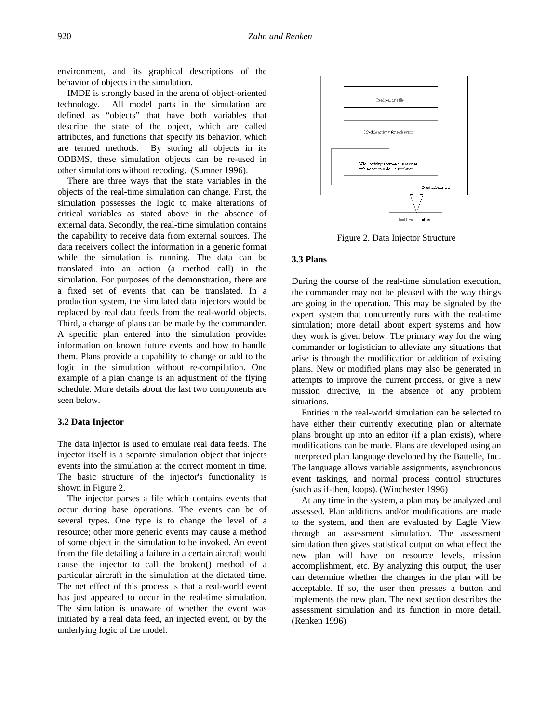environment, and its graphical descriptions of the behavior of objects in the simulation.

IMDE is strongly based in the arena of object-oriented technology. All model parts in the simulation are defined as "objects" that have both variables that describe the state of the object, which are called attributes, and functions that specify its behavior, which are termed methods. By storing all objects in its ODBMS, these simulation objects can be re-used in other simulations without recoding. (Sumner 1996).

There are three ways that the state variables in the objects of the real-time simulation can change. First, the simulation possesses the logic to make alterations of critical variables as stated above in the absence of external data. Secondly, the real-time simulation contains the capability to receive data from external sources. The data receivers collect the information in a generic format while the simulation is running. The data can be translated into an action (a method call) in the simulation. For purposes of the demonstration, there are a fixed set of events that can be translated. In a production system, the simulated data injectors would be replaced by real data feeds from the real-world objects. Third, a change of plans can be made by the commander. A specific plan entered into the simulation provides information on known future events and how to handle them. Plans provide a capability to change or add to the logic in the simulation without re-compilation. One example of a plan change is an adjustment of the flying schedule. More details about the last two components are seen below.

### **3.2 Data Injector**

The data injector is used to emulate real data feeds. The injector itself is a separate simulation object that injects events into the simulation at the correct moment in time. The basic structure of the injector's functionality is shown in Figure 2.

The injector parses a file which contains events that occur during base operations. The events can be of several types. One type is to change the level of a resource; other more generic events may cause a method of some object in the simulation to be invoked. An event from the file detailing a failure in a certain aircraft would cause the injector to call the broken() method of a particular aircraft in the simulation at the dictated time. The net effect of this process is that a real-world event has just appeared to occur in the real-time simulation. The simulation is unaware of whether the event was initiated by a real data feed, an injected event, or by the underlying logic of the model.



Figure 2. Data Injector Structure

#### **3.3 Plans**

During the course of the real-time simulation execution, the commander may not be pleased with the way things are going in the operation. This may be signaled by the expert system that concurrently runs with the real-time simulation; more detail about expert systems and how they work is given below. The primary way for the wing commander or logistician to alleviate any situations that arise is through the modification or addition of existing plans. New or modified plans may also be generated in attempts to improve the current process, or give a new mission directive, in the absence of any problem situations.

Entities in the real-world simulation can be selected to have either their currently executing plan or alternate plans brought up into an editor (if a plan exists), where modifications can be made. Plans are developed using an interpreted plan language developed by the Battelle, Inc. The language allows variable assignments, asynchronous event taskings, and normal process control structures (such as if-then, loops). (Winchester 1996)

At any time in the system, a plan may be analyzed and assessed. Plan additions and/or modifications are made to the system, and then are evaluated by Eagle View through an assessment simulation. The assessment simulation then gives statistical output on what effect the new plan will have on resource levels, mission accomplishment, etc. By analyzing this output, the user can determine whether the changes in the plan will be acceptable. If so, the user then presses a button and implements the new plan. The next section describes the assessment simulation and its function in more detail. (Renken 1996)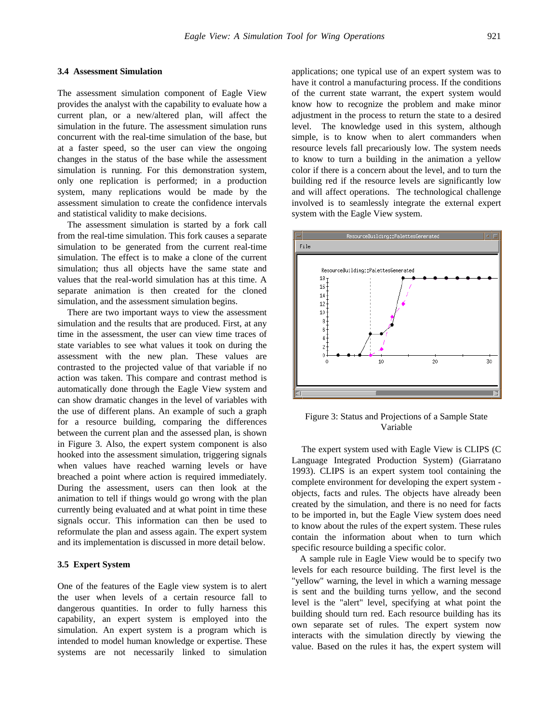#### **3.4 Assessment Simulation**

The assessment simulation component of Eagle View provides the analyst with the capability to evaluate how a current plan, or a new/altered plan, will affect the simulation in the future. The assessment simulation runs concurrent with the real-time simulation of the base, but at a faster speed, so the user can view the ongoing changes in the status of the base while the assessment simulation is running. For this demonstration system, only one replication is performed; in a production system, many replications would be made by the assessment simulation to create the confidence intervals and statistical validity to make decisions.

The assessment simulation is started by a fork call from the real-time simulation. This fork causes a separate simulation to be generated from the current real-time simulation. The effect is to make a clone of the current simulation; thus all objects have the same state and values that the real-world simulation has at this time. A separate animation is then created for the cloned simulation, and the assessment simulation begins.

There are two important ways to view the assessment simulation and the results that are produced. First, at any time in the assessment, the user can view time traces of state variables to see what values it took on during the assessment with the new plan. These values are contrasted to the projected value of that variable if no action was taken. This compare and contrast method is automatically done through the Eagle View system and can show dramatic changes in the level of variables with the use of different plans. An example of such a graph for a resource building, comparing the differences between the current plan and the assessed plan, is shown in Figure 3. Also, the expert system component is also hooked into the assessment simulation, triggering signals when values have reached warning levels or have breached a point where action is required immediately. During the assessment, users can then look at the animation to tell if things would go wrong with the plan currently being evaluated and at what point in time these signals occur. This information can then be used to reformulate the plan and assess again. The expert system and its implementation is discussed in more detail below.

## **3.5 Expert System**

One of the features of the Eagle view system is to alert the user when levels of a certain resource fall to dangerous quantities. In order to fully harness this capability, an expert system is employed into the simulation. An expert system is a program which is intended to model human knowledge or expertise. These systems are not necessarily linked to simulation

applications; one typical use of an expert system was to have it control a manufacturing process. If the conditions of the current state warrant, the expert system would know how to recognize the problem and make minor adjustment in the process to return the state to a desired level. The knowledge used in this system, although simple, is to know when to alert commanders when resource levels fall precariously low. The system needs to know to turn a building in the animation a yellow color if there is a concern about the level, and to turn the building red if the resource levels are significantly low and will affect operations. The technological challenge involved is to seamlessly integrate the external expert system with the Eagle View system.



Figure 3: Status and Projections of a Sample State Variable

The expert system used with Eagle View is CLIPS (C Language Integrated Production System) (Giarratano 1993). CLIPS is an expert system tool containing the complete environment for developing the expert system objects, facts and rules. The objects have already been created by the simulation, and there is no need for facts to be imported in, but the Eagle View system does need to know about the rules of the expert system. These rules contain the information about when to turn which specific resource building a specific color.

A sample rule in Eagle View would be to specify two levels for each resource building. The first level is the "yellow" warning, the level in which a warning message is sent and the building turns yellow, and the second level is the "alert" level, specifying at what point the building should turn red. Each resource building has its own separate set of rules. The expert system now interacts with the simulation directly by viewing the value. Based on the rules it has, the expert system will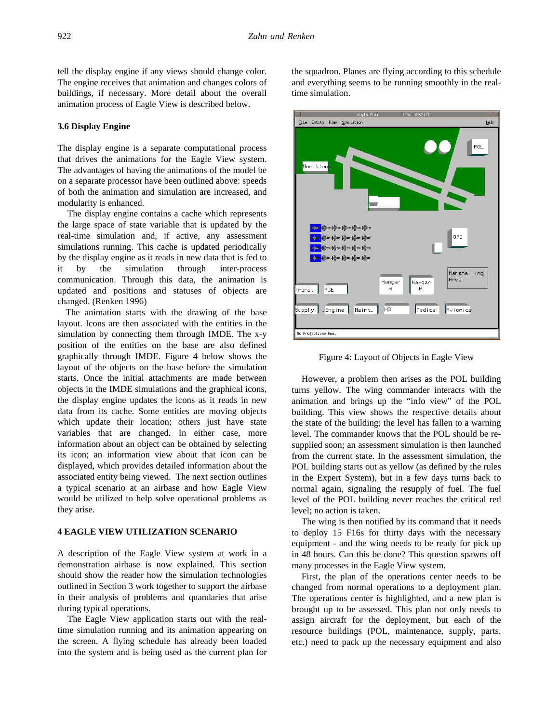tell the display engine if any views should change color. The engine receives that animation and changes colors of buildings, if necessary. More detail about the overall animation process of Eagle View is described below.

### **3.6 Display Engine**

The display engine is a separate computational process that drives the animations for the Eagle View system. The advantages of having the animations of the model be on a separate processor have been outlined above: speeds of both the animation and simulation are increased, and modularity is enhanced.

The display engine contains a cache which represents the large space of state variable that is updated by the real-time simulation and, if active, any assessment simulations running. This cache is updated periodically by the display engine as it reads in new data that is fed to it by the simulation through inter-process communication. Through this data, the animation is updated and positions and statuses of objects are changed. (Renken 1996)

The animation starts with the drawing of the base layout. Icons are then associated with the entities in the simulation by connecting them through IMDE. The x-y position of the entities on the base are also defined graphically through IMDE. Figure 4 below shows the layout of the objects on the base before the simulation starts. Once the initial attachments are made between objects in the IMDE simulations and the graphical icons, the display engine updates the icons as it reads in new data from its cache. Some entities are moving objects which update their location; others just have state variables that are changed. In either case, more information about an object can be obtained by selecting its icon; an information view about that icon can be displayed, which provides detailed information about the associated entity being viewed. The next section outlines a typical scenario at an airbase and how Eagle View would be utilized to help solve operational problems as they arise.

## **4 EAGLE VIEW UTILIZATION SCENARIO**

A description of the Eagle View system at work in a demonstration airbase is now explained. This section should show the reader how the simulation technologies outlined in Section 3 work together to support the airbase in their analysis of problems and quandaries that arise during typical operations.

The Eagle View application starts out with the realtime simulation running and its animation appearing on the screen. A flying schedule has already been loaded into the system and is being used as the current plan for

the squadron. Planes are flying according to this schedule and everything seems to be running smoothly in the realtime simulation.



Figure 4: Layout of Objects in Eagle View

However, a problem then arises as the POL building turns yellow. The wing commander interacts with the animation and brings up the "info view" of the POL building. This view shows the respective details about the state of the building; the level has fallen to a warning level. The commander knows that the POL should be resupplied soon; an assessment simulation is then launched from the current state. In the assessment simulation, the POL building starts out as yellow (as defined by the rules in the Expert System), but in a few days turns back to normal again, signaling the resupply of fuel. The fuel level of the POL building never reaches the critical red level; no action is taken.

The wing is then notified by its command that it needs to deploy 15 F16s for thirty days with the necessary equipment - and the wing needs to be ready for pick up in 48 hours. Can this be done? This question spawns off many processes in the Eagle View system.

First, the plan of the operations center needs to be changed from normal operations to a deployment plan. The operations center is highlighted, and a new plan is brought up to be assessed. This plan not only needs to assign aircraft for the deployment, but each of the resource buildings (POL, maintenance, supply, parts, etc.) need to pack up the necessary equipment and also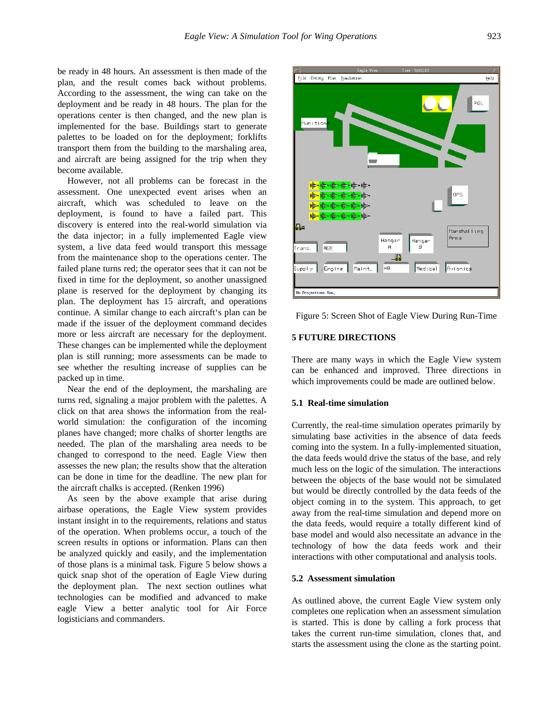be ready in 48 hours. An assessment is then made of the plan, and the result comes back without problems. According to the assessment, the wing can take on the deployment and be ready in 48 hours. The plan for the operations center is then changed, and the new plan is implemented for the base. Buildings start to generate palettes to be loaded on for the deployment; forklifts transport them from the building to the marshaling area, and aircraft are being assigned for the trip when they become available.

However, not all problems can be forecast in the assessment. One unexpected event arises when an aircraft, which was scheduled to leave on the deployment, is found to have a failed part. This discovery is entered into the real-world simulation via the data injector; in a fully implemented Eagle view system, a live data feed would transport this message from the maintenance shop to the operations center. The failed plane turns red; the operator sees that it can not be fixed in time for the deployment, so another unassigned plane is reserved for the deployment by changing its plan. The deployment has 15 aircraft, and operations continue. A similar change to each aircraft's plan can be made if the issuer of the deployment command decides more or less aircraft are necessary for the deployment. These changes can be implemented while the deployment plan is still running; more assessments can be made to see whether the resulting increase of supplies can be packed up in time.

Near the end of the deployment, the marshaling are turns red, signaling a major problem with the palettes. A click on that area shows the information from the realworld simulation: the configuration of the incoming planes have changed; more chalks of shorter lengths are needed. The plan of the marshaling area needs to be changed to correspond to the need. Eagle View then assesses the new plan; the results show that the alteration can be done in time for the deadline. The new plan for the aircraft chalks is accepted. (Renken 1996)

As seen by the above example that arise during airbase operations, the Eagle View system provides instant insight in to the requirements, relations and status of the operation. When problems occur, a touch of the screen results in options or information. Plans can then be analyzed quickly and easily, and the implementation of those plans is a minimal task. Figure 5 below shows a quick snap shot of the operation of Eagle View during the deployment plan. The next section outlines what technologies can be modified and advanced to make eagle View a better analytic tool for Air Force logisticians and commanders.



Figure 5: Screen Shot of Eagle View During Run-Time

### **5 FUTURE DIRECTIONS**

There are many ways in which the Eagle View system can be enhanced and improved. Three directions in which improvements could be made are outlined below.

### **5.1 Real-time simulation**

Currently, the real-time simulation operates primarily by simulating base activities in the absence of data feeds coming into the system. In a fully-implemented situation, the data feeds would drive the status of the base, and rely much less on the logic of the simulation. The interactions between the objects of the base would not be simulated but would be directly controlled by the data feeds of the object coming in to the system. This approach, to get away from the real-time simulation and depend more on the data feeds, would require a totally different kind of base model and would also necessitate an advance in the technology of how the data feeds work and their interactions with other computational and analysis tools.

#### **5.2 Assessment simulation**

As outlined above, the current Eagle View system only completes one replication when an assessment simulation is started. This is done by calling a fork process that takes the current run-time simulation, clones that, and starts the assessment using the clone as the starting point.